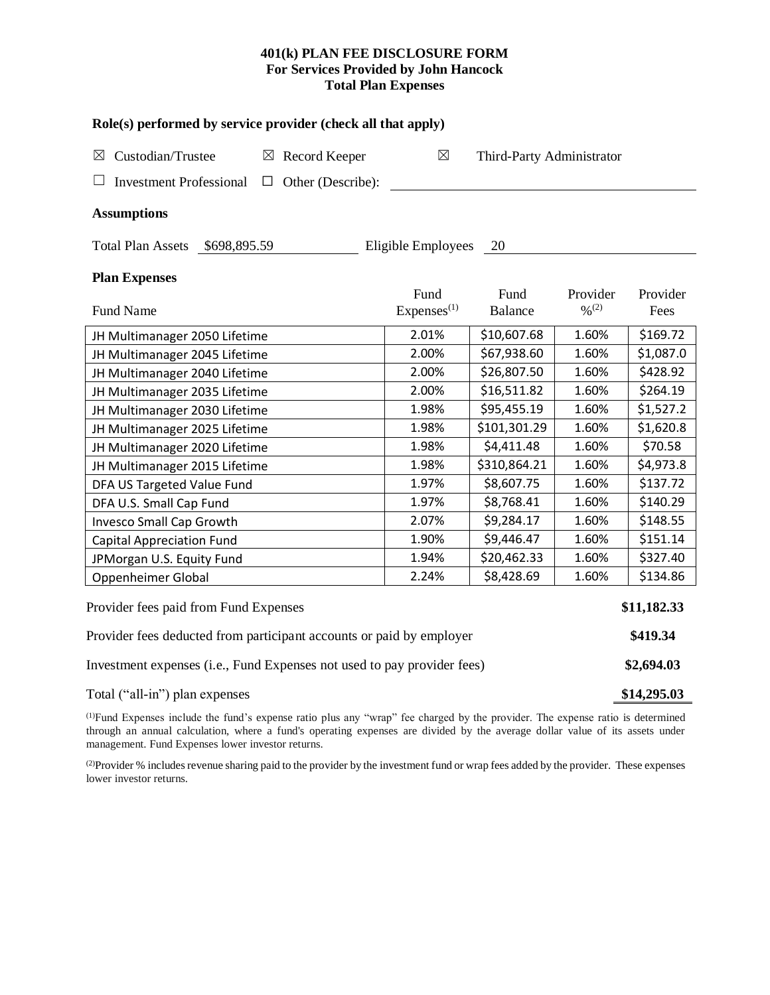## **401(k) PLAN FEE DISCLOSURE FORM For Services Provided by John Hancock Total Plan Expenses**

| Role(s) performed by service provider (check all that apply)            |                   |                        |                           |                              |             |  |  |  |
|-------------------------------------------------------------------------|-------------------|------------------------|---------------------------|------------------------------|-------------|--|--|--|
| Custodian/Trustee<br>⊠<br>$\boxtimes$                                   | Record Keeper     | $\boxtimes$            | Third-Party Administrator |                              |             |  |  |  |
| <b>Investment Professional</b><br>$\overline{\phantom{a}}$<br>$\Box$    | Other (Describe): |                        |                           |                              |             |  |  |  |
| <b>Assumptions</b>                                                      |                   |                        |                           |                              |             |  |  |  |
| <b>Total Plan Assets</b><br>\$698,895.59                                |                   | Eligible Employees     | 20                        |                              |             |  |  |  |
| <b>Plan Expenses</b>                                                    |                   |                        |                           |                              |             |  |  |  |
|                                                                         |                   | Fund                   | Fund                      | Provider                     | Provider    |  |  |  |
| Fund Name                                                               |                   | Express <sup>(1)</sup> | <b>Balance</b>            | $\frac{0}{2}$ <sup>(2)</sup> | Fees        |  |  |  |
| JH Multimanager 2050 Lifetime                                           |                   | 2.01%                  | \$10,607.68               | 1.60%                        | \$169.72    |  |  |  |
| JH Multimanager 2045 Lifetime                                           |                   | 2.00%                  | \$67,938.60               | 1.60%                        | \$1,087.0   |  |  |  |
| JH Multimanager 2040 Lifetime                                           |                   | 2.00%                  | \$26,807.50               | 1.60%                        | \$428.92    |  |  |  |
| JH Multimanager 2035 Lifetime                                           |                   | 2.00%                  | \$16,511.82               | 1.60%                        | \$264.19    |  |  |  |
| JH Multimanager 2030 Lifetime                                           |                   | 1.98%                  | \$95,455.19               | 1.60%                        | \$1,527.2   |  |  |  |
| JH Multimanager 2025 Lifetime                                           |                   | 1.98%                  | \$101,301.29              | 1.60%                        | \$1,620.8   |  |  |  |
| JH Multimanager 2020 Lifetime                                           | 1.98%             | \$4,411.48             | 1.60%                     | \$70.58                      |             |  |  |  |
| JH Multimanager 2015 Lifetime                                           | 1.98%             | \$310,864.21           | 1.60%                     | \$4,973.8                    |             |  |  |  |
| DFA US Targeted Value Fund                                              |                   | 1.97%                  | \$8,607.75                | 1.60%                        | \$137.72    |  |  |  |
| DFA U.S. Small Cap Fund                                                 |                   | 1.97%                  | \$8,768.41                | 1.60%                        | \$140.29    |  |  |  |
| Invesco Small Cap Growth                                                |                   | 2.07%                  | \$9,284.17                | 1.60%                        | \$148.55    |  |  |  |
| <b>Capital Appreciation Fund</b>                                        |                   | 1.90%                  | \$9,446.47                | 1.60%                        | \$151.14    |  |  |  |
| JPMorgan U.S. Equity Fund                                               |                   | 1.94%                  | \$20,462.33               | 1.60%                        | \$327.40    |  |  |  |
| Oppenheimer Global                                                      |                   | 2.24%                  | \$8,428.69                | 1.60%                        | \$134.86    |  |  |  |
| Provider fees paid from Fund Expenses                                   |                   |                        |                           |                              | \$11,182.33 |  |  |  |
| Provider fees deducted from participant accounts or paid by employer    |                   |                        |                           |                              |             |  |  |  |
| Investment expenses (i.e., Fund Expenses not used to pay provider fees) |                   |                        |                           |                              |             |  |  |  |

Total ("all-in") plan expenses **\$14,295.03**

(1)Fund Expenses include the fund's expense ratio plus any "wrap" fee charged by the provider. The expense ratio is determined through an annual calculation, where a fund's operating expenses are divided by the average dollar value of its assets under management. Fund Expenses lower investor returns.

(2) Provider % includes revenue sharing paid to the provider by the investment fund or wrap fees added by the provider. These expenses lower investor returns.